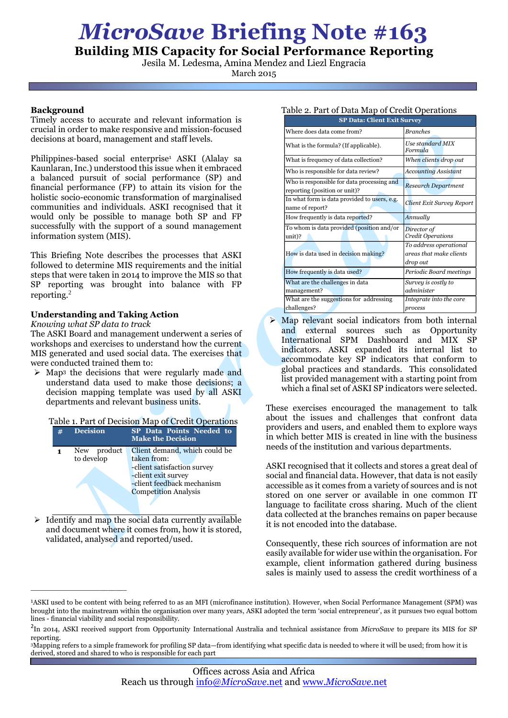# *MicroSave* **Briefing Note #163**

**Building MIS Capacity for Social Performance Reporting**

Jesila M. Ledesma, Amina Mendez and Liezl Engracia

March 2015

### **Background**

Timely access to accurate and relevant information is crucial in order to make responsive and mission-focused decisions at board, management and staff levels.

Philippines-based social enterprise<sup>1</sup> ASKI (Alalay sa Kaunlaran, Inc.) understood this issue when it embraced a balanced pursuit of social performance (SP) and financial performance (FP) to attain its vision for the holistic socio-economic transformation of marginalised communities and individuals. ASKI recognised that it would only be possible to manage both SP and FP successfully with the support of a sound management information system (MIS).

This Briefing Note describes the processes that ASKI followed to determine MIS requirements and the initial steps that were taken in 2014 to improve the MIS so that SP reporting was brought into balance with FP reporting. 2

## **Understanding and Taking Action**

*Knowing what SP data to track*

\_\_\_\_\_\_\_\_\_\_\_\_\_\_\_\_\_\_\_\_\_\_\_\_\_

The ASKI Board and management underwent a series of workshops and exercises to understand how the current MIS generated and used social data. The exercises that were conducted trained them to:

 $\triangleright$  Map<sup>3</sup> the decisions that were regularly made and understand data used to make those decisions; a decision mapping template was used by all ASKI departments and relevant business units.

| Table 1. Part of Decision Map of Credit Operations |                              |                                                                                                                                                                 |  |  |  |  |  |  |
|----------------------------------------------------|------------------------------|-----------------------------------------------------------------------------------------------------------------------------------------------------------------|--|--|--|--|--|--|
| #                                                  | <b>Decision</b>              | SP Data Points Needed to<br><b>Make the Decision</b>                                                                                                            |  |  |  |  |  |  |
|                                                    | product<br>New<br>to develop | Client demand, which could be<br>taken from:<br>-client satisfaction survey<br>-client exit survey<br>-client feedback mechanism<br><b>Competition Analysis</b> |  |  |  |  |  |  |

 $\triangleright$  Identify and map the social data currently available and document where it comes from, how it is stored, validated, analysed and reported/used.

| Table 2. Part of Data Map of Credit Operations |  |  |  |  |
|------------------------------------------------|--|--|--|--|
|                                                |  |  |  |  |

| <b>SP Data: Client Exit Survey</b>                                          |                                                               |  |  |  |  |
|-----------------------------------------------------------------------------|---------------------------------------------------------------|--|--|--|--|
| Where does data come from?                                                  | <b>Branches</b>                                               |  |  |  |  |
| What is the formula? (If applicable).                                       | Use standard MIX<br>Formula                                   |  |  |  |  |
| What is frequency of data collection?                                       | When clients drop out                                         |  |  |  |  |
| Who is responsible for data review?                                         | <b>Accounting Assistant</b>                                   |  |  |  |  |
| Who is responsible for data processing and<br>reporting (position or unit)? | <b>Research Department</b>                                    |  |  |  |  |
| In what form is data provided to users, e.g.<br>name of report?             | Client Exit Survey Report                                     |  |  |  |  |
| How frequently is data reported?                                            | Annually                                                      |  |  |  |  |
| To whom is data provided (position and/or<br>unit)?                         | Director of<br>Credit Operations                              |  |  |  |  |
| How is data used in decision making?                                        | To address operational<br>areas that make clients<br>drop out |  |  |  |  |
| How frequently is data used?                                                | Periodic Board meetings                                       |  |  |  |  |
| What are the challenges in data<br>management?                              | Survey is costly to<br>administer                             |  |  |  |  |
| What are the suggestions for addressing<br>challenges?                      | Integrate into the core<br>process                            |  |  |  |  |

 $\triangleright$  Map relevant social indicators from both internal and external sources such as Opportunity International SPM Dashboard and MIX SP indicators. ASKI expanded its internal list to accommodate key SP indicators that conform to global practices and standards. This consolidated list provided management with a starting point from which a final set of ASKI SP indicators were selected.

These exercises encouraged the management to talk about the issues and challenges that confront data providers and users, and enabled them to explore ways in which better MIS is created in line with the business needs of the institution and various departments.

ASKI recognised that it collects and stores a great deal of social and financial data. However, that data is not easily accessible as it comes from a variety of sources and is not stored on one server or available in one common IT language to facilitate cross sharing. Much of the client data collected at the branches remains on paper because it is not encoded into the database.

Consequently, these rich sources of information are not easily available for wider use within the organisation. For example, client information gathered during business sales is mainly used to assess the credit worthiness of a

<sup>1</sup>ASKI used to be content with being referred to as an MFI (microfinance institution). However, when Social Performance Management (SPM) was brought into the mainstream within the organisation over many years, ASKI adopted the term 'social entrepreneur', as it pursues two equal bottom lines - financial viability and social responsibility.

<sup>2</sup> In 2014, ASKI received support from Opportunity International Australia and technical assistance from *MicroSave* to prepare its MIS for SP reporting.

<sup>3</sup>Mapping refers to a simple framework for profiling SP data—from identifying what specific data is needed to where it will be used; from how it is derived, stored and shared to who is responsible for each part